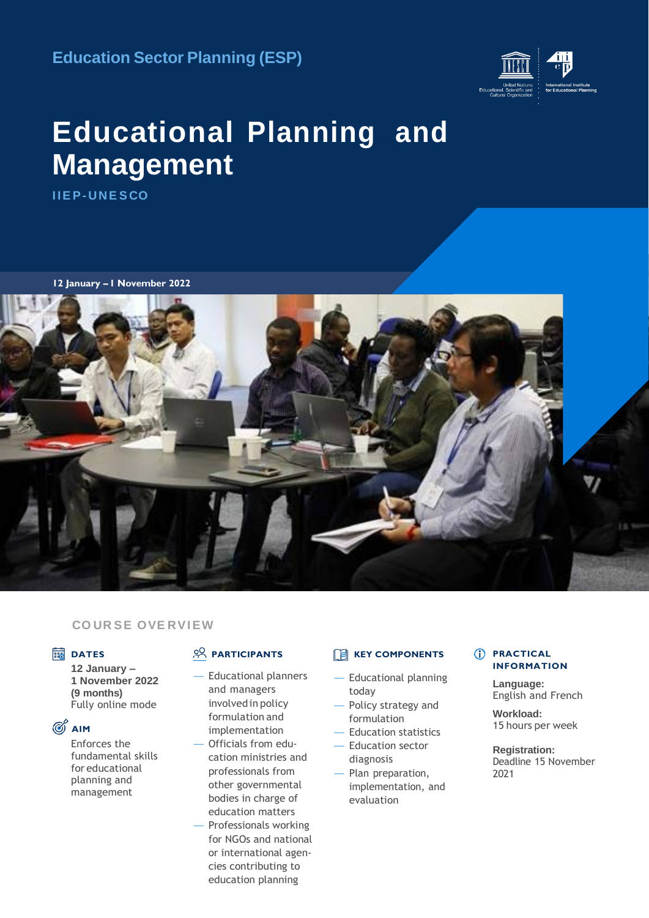**Education Sector Planning (ESP)**



# **Educational Planning and Management**

**I IE P- UNE S CO**

**12 January – 1 November 2022**



#### **CO UR SE OVE RVIEW**

#### **DATES**

**12 January – 1 November 2022 (9 months)** Fully online mode

### **AIM**

Enforces the fundamental skills for educational planning and management

### **PARTICIPANTS**

— Educational planners and managers involvedin policy formulation and implementation

— Officials from education ministries and professionals from other governmental bodies in charge of education matters — Professionals working for NGOs and national or international agencies contributing to education planning

### **EXEY COMPONENTS**

- Educational planning today
- Policy strategy and formulation
- Education statistics
- Education sector diagnosis
- Plan preparation, implementation, and evaluation

#### $(i)$  **PRACTICAL INFORMATION**

**Language:** English and French

**Workload:** 15 hours per week

**Registration:** Deadline 15 November 2021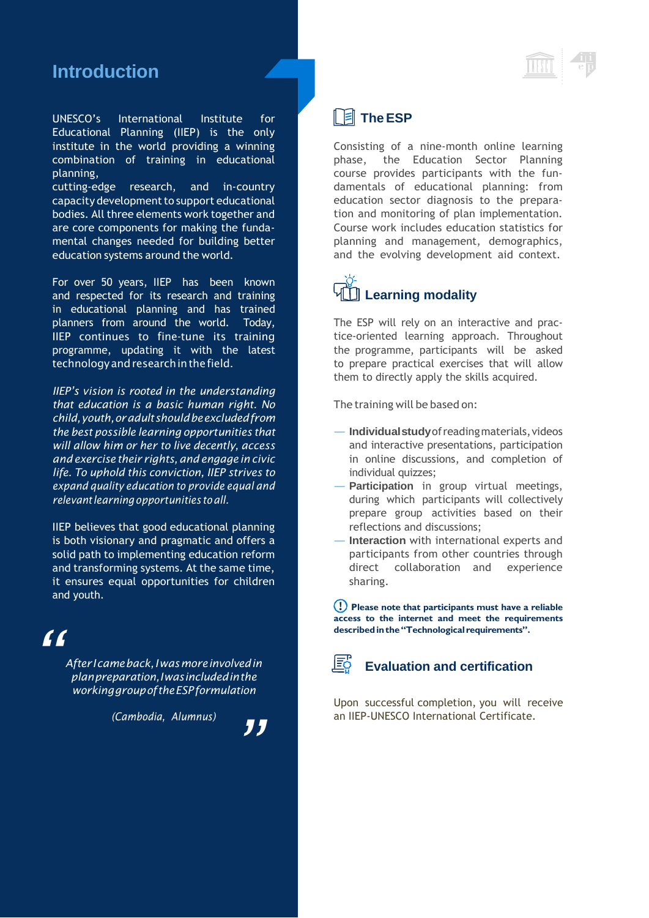# **Introduction**

UNESCO's International Institute for Educational Planning (IIEP) is the only institute in the world providing a winning combination of training in educational planning,

cutting-edge research, and in-country capacity development to support educational bodies. All three elements work together and are core components for making the fundamental changes needed for building better education systems around the world.

For over 50 years, IIEP has been known and respected for its research and training in educational planning and has trained planners from around the world. Today, IIEP continues to fine-tune its training programme, updating it with the latest technology and research in the field.

*IIEP's vision is rooted in the understanding that education is a basic human right. No child,youth,oradultshouldbeexcludedfrom the best possible learning opportunities that will allow him or her to live decently, access and exercise their rights,and engage in civic life. To uphold this conviction, IIEP strives to expand quality education to provide equal and relevantlearningopportunities toall.*

IIEP believes that good educational planning is both visionary and pragmatic and offers a solid path to implementing education reform and transforming systems. At the same time, it ensures equal opportunities for children and youth.

# *"*

*AfterIcameback,Iwasmoreinvolvedin planpreparation,Iwasincludedinthe workinggroupoftheESPformulation*

*(Cambodia, Alumnus)*



## **TheESP**

Consisting of a nine-month online learning phase, the Education Sector Planning course provides participants with the fundamentals of educational planning: from education sector diagnosis to the preparation and monitoring of plan implementation. Course work includes education statistics for planning and management, demographics, and the evolving development aid context.

# **Learning modality**

The ESP will rely on an interactive and practice-oriented learning approach. Throughout the programme, participants will be asked to prepare practical exercises that will allow them to directly apply the skills acquired.

The training will be based on:

- **Individualstudy**ofreadingmaterials,videos and interactive presentations, participation in online discussions, and completion of individual quizzes;
- Participation in group virtual meetings, during which participants will collectively prepare group activities based on their reflections and discussions;
- **Interaction** with international experts and participants from other countries through direct collaboration and experience sharing.

**Please note that participants must have a reliable access to the internet and meet the requirements describedinthe"Technological requirements".**



### **Evaluation and certification**

Upon successful completion, you will receive an IIEP-UNESCO International Certificate.